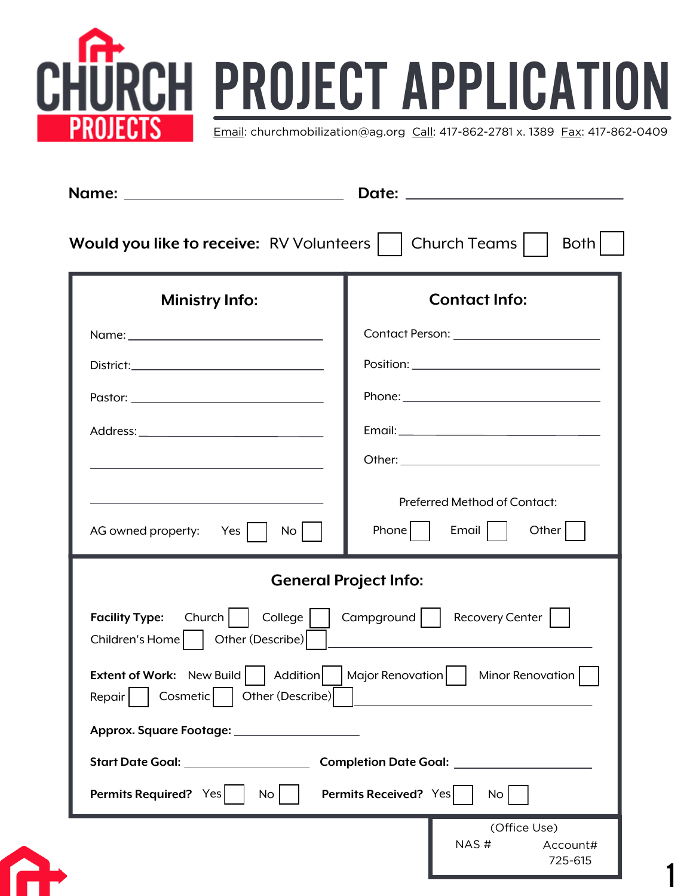

| Would you like to receive: RV Volunteers                                                                                                    | Both<br>Church Teams                                                              |
|---------------------------------------------------------------------------------------------------------------------------------------------|-----------------------------------------------------------------------------------|
| <b>Ministry Info:</b>                                                                                                                       | <b>Contact Info:</b>                                                              |
|                                                                                                                                             |                                                                                   |
|                                                                                                                                             |                                                                                   |
|                                                                                                                                             |                                                                                   |
|                                                                                                                                             |                                                                                   |
| the control of the control of the control of the control of the control of the control of                                                   |                                                                                   |
| AG owned property: Yes<br>No <sub>1</sub>                                                                                                   | Preferred Method of Contact:<br>Other $\vert$<br>Phone    <br>Email $\vert \vert$ |
|                                                                                                                                             | <b>General Project Info:</b>                                                      |
| College    <br>$Church$  <br><b>Facility Type:</b><br>Children's Home     Other (Describe)                                                  | Recovery Center  <br>$Campground$                                                 |
| <b>Extent of Work:</b> New Build<br><b>Addition</b><br>  Major Renovation    <br>Minor Renovation<br>Other (Describe)<br>Cosmetic<br>Repair |                                                                                   |
| Approx. Square Footage: ______________________                                                                                              |                                                                                   |
| Start Date Goal: __________________                                                                                                         | Completion Date Goal: ________________                                            |
| Permits Required? Yes<br>No <sub>1</sub>                                                                                                    | <b>Permits Received?</b> Yes<br><b>No</b>                                         |
|                                                                                                                                             | (Office Use)<br>NAS#<br>Account#<br>725-615                                       |

1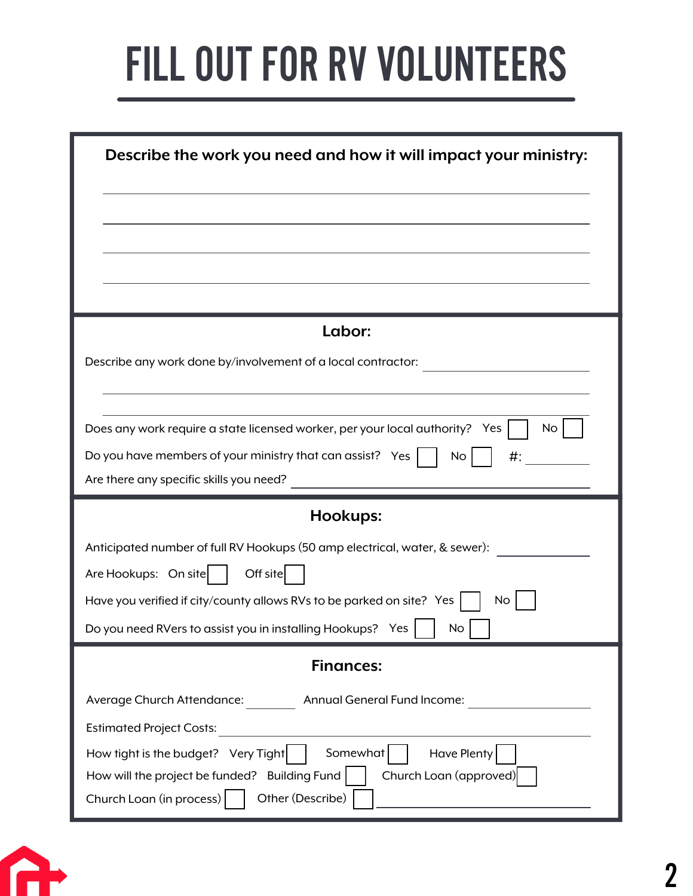## FILL OUT FOR RV VOLUNTEERS

| Describe the work you need and how it will impact your ministry:                                                                          |  |  |
|-------------------------------------------------------------------------------------------------------------------------------------------|--|--|
|                                                                                                                                           |  |  |
|                                                                                                                                           |  |  |
|                                                                                                                                           |  |  |
|                                                                                                                                           |  |  |
| Labor:                                                                                                                                    |  |  |
| Describe any work done by/involvement of a local contractor:                                                                              |  |  |
|                                                                                                                                           |  |  |
| Does any work require a state licensed worker, per your local authority? Yes<br><b>No</b>                                                 |  |  |
| Do you have members of your ministry that can assist? Yes<br>No<br>♯:                                                                     |  |  |
| Are there any specific skills you need?                                                                                                   |  |  |
| Hookups:                                                                                                                                  |  |  |
| Anticipated number of full RV Hookups (50 amp electrical, water, & sewer):                                                                |  |  |
| Are Hookups: On site<br>Off site                                                                                                          |  |  |
| Have you verified if city/county allows RVs to be parked on site? Yes<br><b>No</b>                                                        |  |  |
| Do you need RVers to assist you in installing Hookups? Yes<br>No                                                                          |  |  |
| <b>Finances:</b>                                                                                                                          |  |  |
| Average Church Attendance:<br>Annual General Fund Income:                                                                                 |  |  |
|                                                                                                                                           |  |  |
| <b>Estimated Project Costs:</b>                                                                                                           |  |  |
| Have Plenty<br>Somewhat<br>How tight is the budget? Very Tight<br>Church Loan (approved)<br>How will the project be funded? Building Fund |  |  |

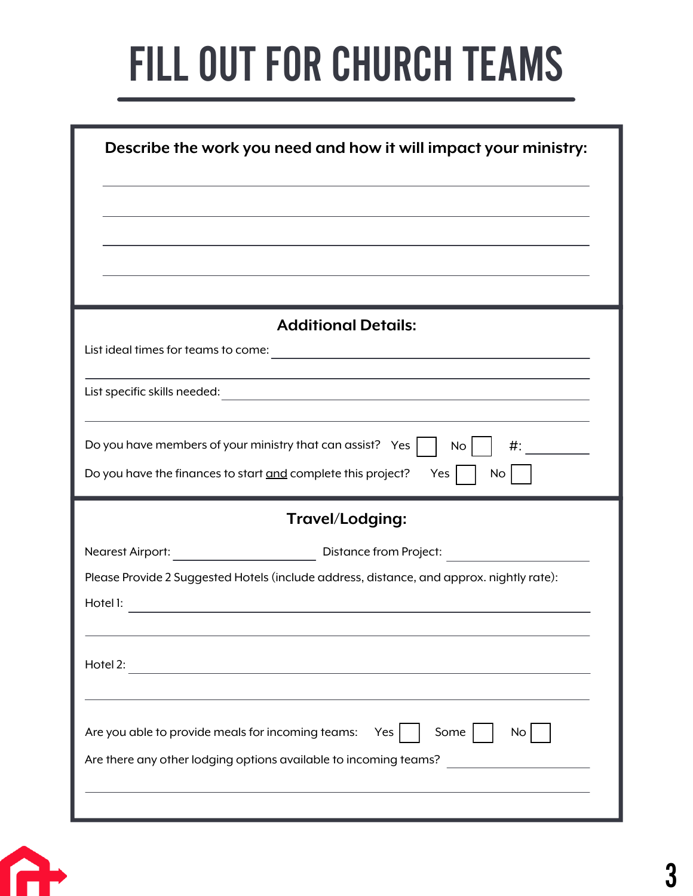## FILL OUT FOR CHURCH TEAMS

| Describe the work you need and how it will impact your ministry:                                                                                                                     |  |  |
|--------------------------------------------------------------------------------------------------------------------------------------------------------------------------------------|--|--|
|                                                                                                                                                                                      |  |  |
|                                                                                                                                                                                      |  |  |
|                                                                                                                                                                                      |  |  |
| <b>Additional Details:</b>                                                                                                                                                           |  |  |
|                                                                                                                                                                                      |  |  |
|                                                                                                                                                                                      |  |  |
| Do you have members of your ministry that can assist? Yes $\vert$<br>No <sub>1</sub><br>$\#$ :<br>Do you have the finances to start and complete this project?<br>Yes  <br><b>No</b> |  |  |
| Travel/Lodging:                                                                                                                                                                      |  |  |
| Nearest Airport: Nearest Airport:                                                                                                                                                    |  |  |
| Please Provide 2 Suggested Hotels (include address, distance, and approx. nightly rate):                                                                                             |  |  |
| Hotel 1:<br>the control of the control of the control of the control of the control of the control of                                                                                |  |  |
| Hotel 2:                                                                                                                                                                             |  |  |
| Are you able to provide meals for incoming teams:<br>Some<br>Yes<br>No<br>Are there any other lodging options available to incoming teams?                                           |  |  |
|                                                                                                                                                                                      |  |  |

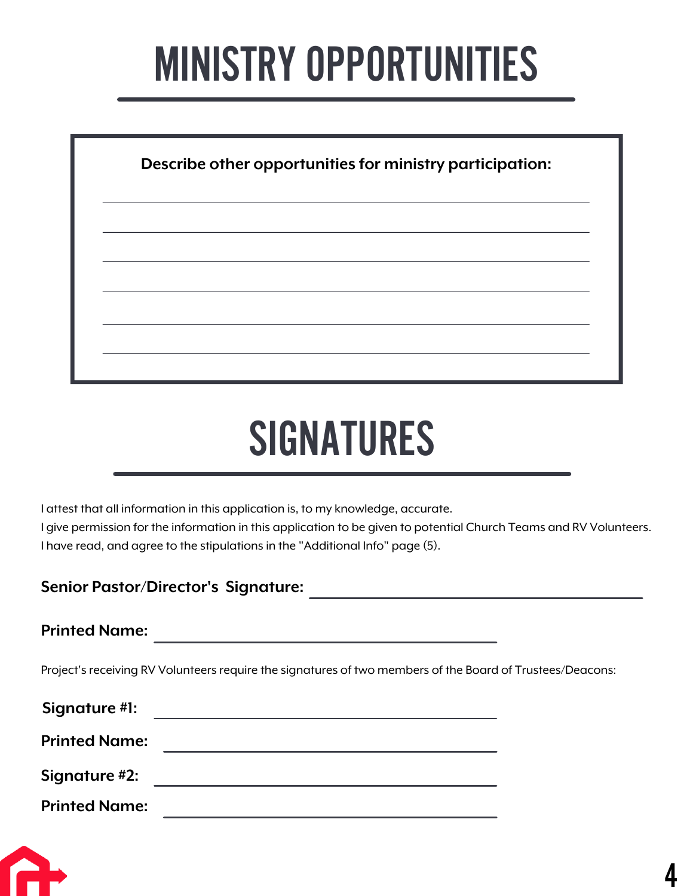### **MINISTRY OPPORTUNITIES**

| Describe other opportunities for ministry participation: |
|----------------------------------------------------------|
|                                                          |
|                                                          |
|                                                          |
|                                                          |

### SIGNATURES

I attest that all information in this application is, to my knowledge, accurate. I give permission for the information in this application to be given to potential Church Teams and RV Volunteers. I have read, and agree to the stipulations in the "Additional Info" page (5).

#### **Senior Pastor/Director's Signature:**

**Printed Name:**

Project's receiving RV Volunteers require the signatures of two members of the Board of Trustees/Deacons:

| Signature #1:        |  |
|----------------------|--|
| <b>Printed Name:</b> |  |
| Signature #2:        |  |
| <b>Printed Name:</b> |  |